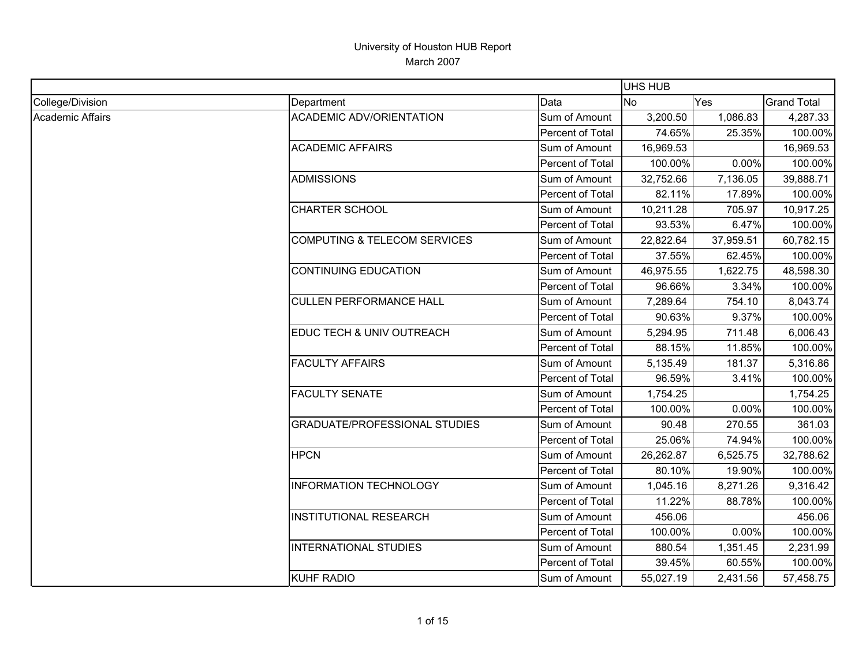|                         |                                         |                  | <b>UHS HUB</b> |           |                    |
|-------------------------|-----------------------------------------|------------------|----------------|-----------|--------------------|
| College/Division        | Department                              | Data             | <b>No</b>      | Yes       | <b>Grand Total</b> |
| <b>Academic Affairs</b> | <b>ACADEMIC ADV/ORIENTATION</b>         | Sum of Amount    | 3,200.50       | 1,086.83  | 4,287.33           |
|                         |                                         | Percent of Total | 74.65%         | 25.35%    | 100.00%            |
|                         | <b>ACADEMIC AFFAIRS</b>                 | Sum of Amount    | 16,969.53      |           | 16,969.53          |
|                         |                                         | Percent of Total | 100.00%        | 0.00%     | 100.00%            |
|                         | <b>ADMISSIONS</b>                       | Sum of Amount    | 32,752.66      | 7,136.05  | 39,888.71          |
|                         |                                         | Percent of Total | 82.11%         | 17.89%    | 100.00%            |
|                         | CHARTER SCHOOL                          | Sum of Amount    | 10,211.28      | 705.97    | 10,917.25          |
|                         |                                         | Percent of Total | 93.53%         | 6.47%     | 100.00%            |
|                         | <b>COMPUTING &amp; TELECOM SERVICES</b> | Sum of Amount    | 22,822.64      | 37,959.51 | 60,782.15          |
|                         |                                         | Percent of Total | 37.55%         | 62.45%    | 100.00%            |
|                         | <b>CONTINUING EDUCATION</b>             | Sum of Amount    | 46,975.55      | 1,622.75  | 48,598.30          |
|                         |                                         | Percent of Total | 96.66%         | 3.34%     | 100.00%            |
|                         | <b>CULLEN PERFORMANCE HALL</b>          | Sum of Amount    | 7,289.64       | 754.10    | 8,043.74           |
|                         |                                         | Percent of Total | 90.63%         | 9.37%     | 100.00%            |
|                         | <b>EDUC TECH &amp; UNIV OUTREACH</b>    | Sum of Amount    | 5,294.95       | 711.48    | 6,006.43           |
|                         |                                         | Percent of Total | 88.15%         | 11.85%    | 100.00%            |
|                         | <b>FACULTY AFFAIRS</b>                  | Sum of Amount    | 5,135.49       | 181.37    | 5,316.86           |
|                         |                                         | Percent of Total | 96.59%         | 3.41%     | 100.00%            |
|                         | <b>FACULTY SENATE</b>                   | Sum of Amount    | 1,754.25       |           | 1,754.25           |
|                         |                                         | Percent of Total | 100.00%        | 0.00%     | 100.00%            |
|                         | <b>GRADUATE/PROFESSIONAL STUDIES</b>    | Sum of Amount    | 90.48          | 270.55    | 361.03             |
|                         |                                         | Percent of Total | 25.06%         | 74.94%    | 100.00%            |
|                         | <b>HPCN</b>                             | Sum of Amount    | 26,262.87      | 6,525.75  | 32,788.62          |
|                         |                                         | Percent of Total | 80.10%         | 19.90%    | 100.00%            |
|                         | <b>INFORMATION TECHNOLOGY</b>           | Sum of Amount    | 1,045.16       | 8,271.26  | 9,316.42           |
|                         |                                         | Percent of Total | 11.22%         | 88.78%    | 100.00%            |
|                         | <b>INSTITUTIONAL RESEARCH</b>           | Sum of Amount    | 456.06         |           | 456.06             |
|                         |                                         | Percent of Total | 100.00%        | 0.00%     | 100.00%            |
|                         | <b>INTERNATIONAL STUDIES</b>            | Sum of Amount    | 880.54         | 1,351.45  | 2,231.99           |
|                         |                                         | Percent of Total | 39.45%         | 60.55%    | 100.00%            |
|                         | <b>KUHF RADIO</b>                       | Sum of Amount    | 55,027.19      | 2,431.56  | 57,458.75          |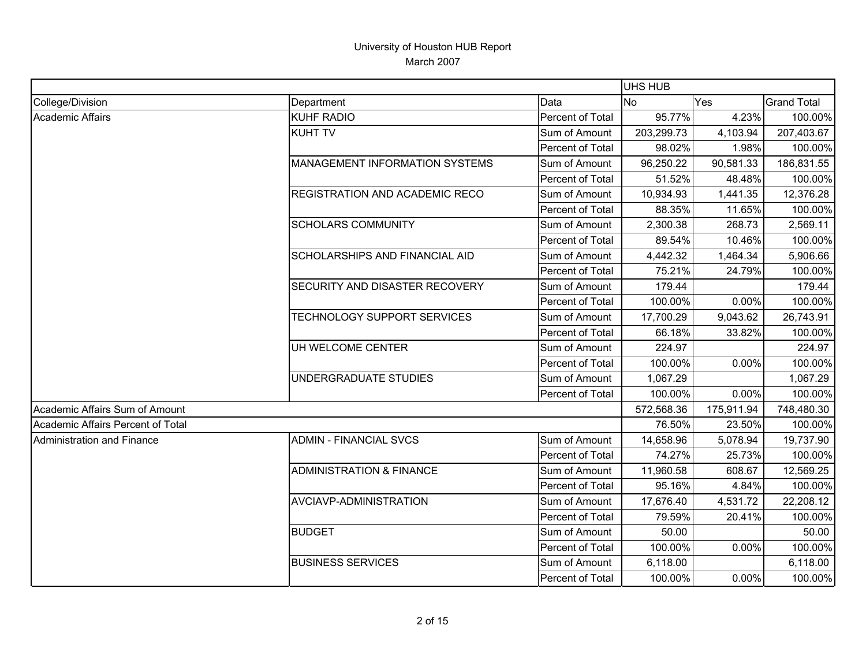|                                   |                                       |                  | <b>UHS HUB</b> |            |                    |
|-----------------------------------|---------------------------------------|------------------|----------------|------------|--------------------|
| College/Division                  | Department                            | Data             | <b>No</b>      | Yes        | <b>Grand Total</b> |
| <b>Academic Affairs</b>           | <b>KUHF RADIO</b>                     | Percent of Total | 95.77%         | 4.23%      | 100.00%            |
|                                   | <b>KUHT TV</b>                        | Sum of Amount    | 203,299.73     | 4,103.94   | 207,403.67         |
|                                   |                                       | Percent of Total | 98.02%         | 1.98%      | 100.00%            |
|                                   | <b>MANAGEMENT INFORMATION SYSTEMS</b> | Sum of Amount    | 96,250.22      | 90,581.33  | 186,831.55         |
|                                   |                                       | Percent of Total | 51.52%         | 48.48%     | 100.00%            |
|                                   | REGISTRATION AND ACADEMIC RECO        | Sum of Amount    | 10,934.93      | 1,441.35   | 12,376.28          |
|                                   |                                       | Percent of Total | 88.35%         | 11.65%     | 100.00%            |
|                                   | <b>SCHOLARS COMMUNITY</b>             | Sum of Amount    | 2,300.38       | 268.73     | 2,569.11           |
|                                   |                                       | Percent of Total | 89.54%         | 10.46%     | 100.00%            |
|                                   | <b>SCHOLARSHIPS AND FINANCIAL AID</b> | Sum of Amount    | 4,442.32       | 1,464.34   | 5,906.66           |
|                                   |                                       | Percent of Total | 75.21%         | 24.79%     | 100.00%            |
|                                   | SECURITY AND DISASTER RECOVERY        | Sum of Amount    | 179.44         |            | 179.44             |
|                                   |                                       | Percent of Total | 100.00%        | 0.00%      | 100.00%            |
|                                   | TECHNOLOGY SUPPORT SERVICES           | Sum of Amount    | 17,700.29      | 9,043.62   | 26,743.91          |
|                                   |                                       | Percent of Total | 66.18%         | 33.82%     | 100.00%            |
|                                   | UH WELCOME CENTER                     | Sum of Amount    | 224.97         |            | 224.97             |
|                                   |                                       | Percent of Total | 100.00%        | 0.00%      | 100.00%            |
|                                   | UNDERGRADUATE STUDIES                 | Sum of Amount    | 1,067.29       |            | 1,067.29           |
|                                   |                                       | Percent of Total | 100.00%        | 0.00%      | 100.00%            |
| Academic Affairs Sum of Amount    |                                       |                  | 572,568.36     | 175,911.94 | 748,480.30         |
| Academic Affairs Percent of Total |                                       |                  | 76.50%         | 23.50%     | 100.00%            |
| Administration and Finance        | <b>ADMIN - FINANCIAL SVCS</b>         | Sum of Amount    | 14,658.96      | 5,078.94   | 19,737.90          |
|                                   |                                       | Percent of Total | 74.27%         | 25.73%     | 100.00%            |
|                                   | <b>ADMINISTRATION &amp; FINANCE</b>   | Sum of Amount    | 11,960.58      | 608.67     | 12,569.25          |
|                                   |                                       | Percent of Total | 95.16%         | 4.84%      | 100.00%            |
|                                   | AVCIAVP-ADMINISTRATION                | Sum of Amount    | 17,676.40      | 4,531.72   | 22,208.12          |
|                                   |                                       | Percent of Total | 79.59%         | 20.41%     | 100.00%            |
|                                   | <b>BUDGET</b>                         | Sum of Amount    | 50.00          |            | 50.00              |
|                                   |                                       | Percent of Total | 100.00%        | 0.00%      | 100.00%            |
|                                   | <b>BUSINESS SERVICES</b>              | Sum of Amount    | 6,118.00       |            | 6,118.00           |
|                                   |                                       | Percent of Total | 100.00%        | 0.00%      | 100.00%            |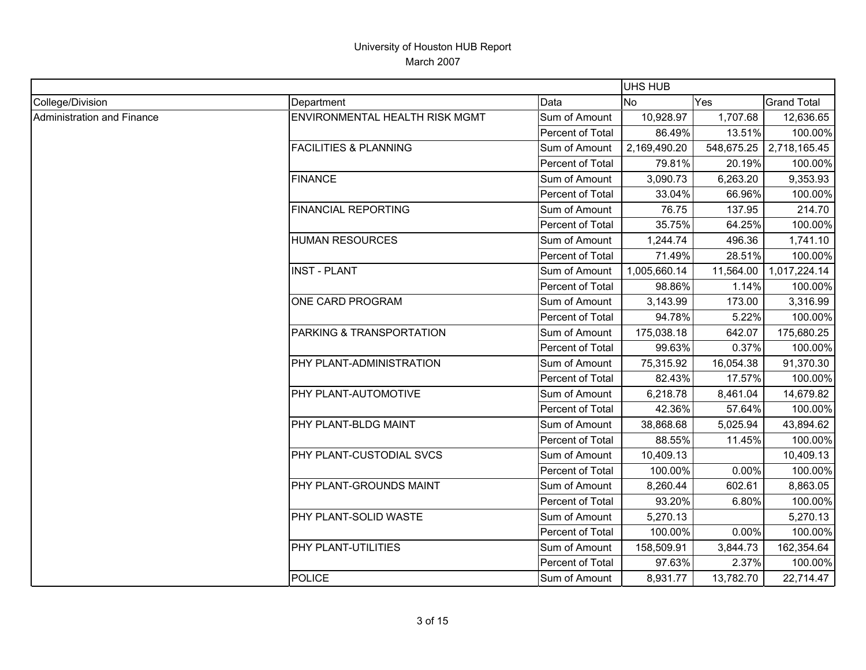|                                   |                                     |                         | <b>UHS HUB</b> |            |                    |
|-----------------------------------|-------------------------------------|-------------------------|----------------|------------|--------------------|
| College/Division                  | Department                          | Data                    | <b>No</b>      | Yes        | <b>Grand Total</b> |
| <b>Administration and Finance</b> | ENVIRONMENTAL HEALTH RISK MGMT      | Sum of Amount           | 10,928.97      | 1,707.68   | 12,636.65          |
|                                   |                                     | Percent of Total        | 86.49%         | 13.51%     | 100.00%            |
|                                   | <b>FACILITIES &amp; PLANNING</b>    | Sum of Amount           | 2,169,490.20   | 548,675.25 | 2,718,165.45       |
|                                   |                                     | Percent of Total        | 79.81%         | 20.19%     | 100.00%            |
|                                   | <b>FINANCE</b>                      | Sum of Amount           | 3,090.73       | 6,263.20   | 9,353.93           |
|                                   |                                     | Percent of Total        | 33.04%         | 66.96%     | 100.00%            |
|                                   | <b>FINANCIAL REPORTING</b>          | Sum of Amount           | 76.75          | 137.95     | 214.70             |
|                                   |                                     | Percent of Total        | 35.75%         | 64.25%     | 100.00%            |
|                                   | <b>HUMAN RESOURCES</b>              | Sum of Amount           | 1,244.74       | 496.36     | 1,741.10           |
|                                   |                                     | Percent of Total        | 71.49%         | 28.51%     | 100.00%            |
|                                   | <b>INST - PLANT</b>                 | Sum of Amount           | 1,005,660.14   | 11,564.00  | 1,017,224.14       |
|                                   |                                     | Percent of Total        | 98.86%         | 1.14%      | 100.00%            |
|                                   | ONE CARD PROGRAM                    | Sum of Amount           | 3,143.99       | 173.00     | 3,316.99           |
|                                   |                                     | Percent of Total        | 94.78%         | 5.22%      | 100.00%            |
|                                   | <b>PARKING &amp; TRANSPORTATION</b> | Sum of Amount           | 175,038.18     | 642.07     | 175,680.25         |
|                                   |                                     | Percent of Total        | 99.63%         | 0.37%      | 100.00%            |
|                                   | PHY PLANT-ADMINISTRATION            | Sum of Amount           | 75,315.92      | 16,054.38  | 91,370.30          |
|                                   |                                     | Percent of Total        | 82.43%         | 17.57%     | 100.00%            |
|                                   | <b>PHY PLANT-AUTOMOTIVE</b>         | Sum of Amount           | 6,218.78       | 8,461.04   | 14,679.82          |
|                                   |                                     | Percent of Total        | 42.36%         | 57.64%     | 100.00%            |
|                                   | PHY PLANT-BLDG MAINT                | Sum of Amount           | 38,868.68      | 5,025.94   | 43,894.62          |
|                                   |                                     | <b>Percent of Total</b> | 88.55%         | 11.45%     | 100.00%            |
|                                   | <b>PHY PLANT-CUSTODIAL SVCS</b>     | Sum of Amount           | 10,409.13      |            | 10,409.13          |
|                                   |                                     | Percent of Total        | 100.00%        | 0.00%      | 100.00%            |
|                                   | PHY PLANT-GROUNDS MAINT             | Sum of Amount           | 8,260.44       | 602.61     | 8,863.05           |
|                                   |                                     | Percent of Total        | 93.20%         | 6.80%      | 100.00%            |
|                                   | <b>PHY PLANT-SOLID WASTE</b>        | Sum of Amount           | 5,270.13       |            | 5,270.13           |
|                                   |                                     | Percent of Total        | 100.00%        | 0.00%      | 100.00%            |
|                                   | PHY PLANT-UTILITIES                 | Sum of Amount           | 158,509.91     | 3,844.73   | 162,354.64         |
|                                   |                                     | Percent of Total        | 97.63%         | 2.37%      | 100.00%            |
|                                   | <b>POLICE</b>                       | Sum of Amount           | 8,931.77       | 13,782.70  | 22,714.47          |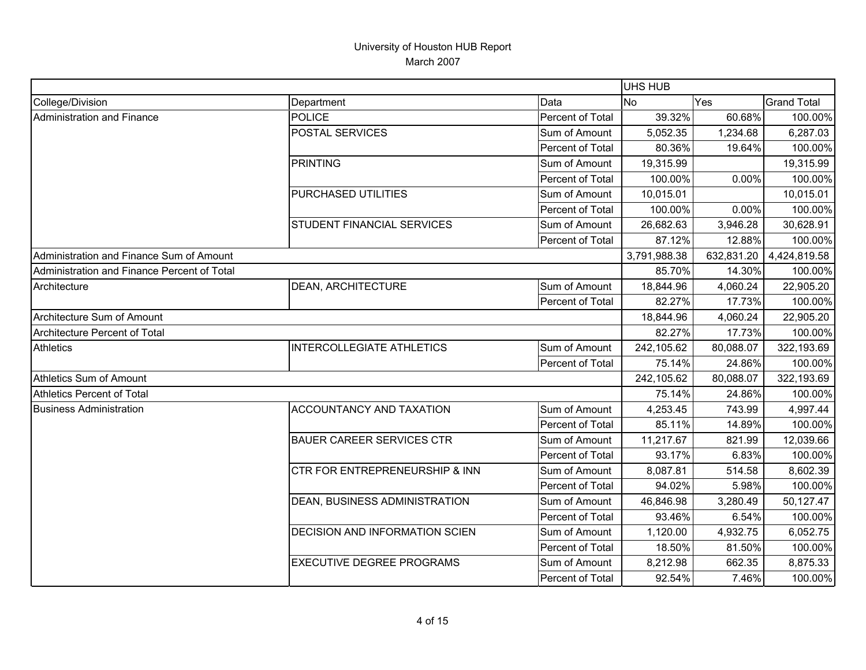|                                             |                                           |                  | UHS HUB      |            |                    |
|---------------------------------------------|-------------------------------------------|------------------|--------------|------------|--------------------|
| College/Division                            | Department                                | Data             | No           | Yes        | <b>Grand Total</b> |
| Administration and Finance                  | <b>POLICE</b>                             | Percent of Total | 39.32%       | 60.68%     | 100.00%            |
|                                             | POSTAL SERVICES                           | Sum of Amount    | 5,052.35     | 1,234.68   | 6,287.03           |
|                                             |                                           | Percent of Total | 80.36%       | 19.64%     | 100.00%            |
|                                             | PRINTING                                  | Sum of Amount    | 19,315.99    |            | 19,315.99          |
|                                             |                                           | Percent of Total | 100.00%      | 0.00%      | 100.00%            |
|                                             | PURCHASED UTILITIES                       | Sum of Amount    | 10,015.01    |            | 10,015.01          |
|                                             |                                           | Percent of Total | 100.00%      | 0.00%      | 100.00%            |
|                                             | <b>STUDENT FINANCIAL SERVICES</b>         | Sum of Amount    | 26,682.63    | 3,946.28   | 30,628.91          |
|                                             |                                           | Percent of Total | 87.12%       | 12.88%     | 100.00%            |
| Administration and Finance Sum of Amount    |                                           |                  | 3,791,988.38 | 632,831.20 | 4,424,819.58       |
| Administration and Finance Percent of Total |                                           |                  | 85.70%       | 14.30%     | 100.00%            |
| Architecture                                | <b>DEAN, ARCHITECTURE</b>                 | Sum of Amount    | 18,844.96    | 4,060.24   | 22,905.20          |
|                                             |                                           | Percent of Total | 82.27%       | 17.73%     | 100.00%            |
| Architecture Sum of Amount                  |                                           |                  | 18,844.96    | 4,060.24   | 22,905.20          |
| Architecture Percent of Total               |                                           |                  | 82.27%       | 17.73%     | 100.00%            |
| <b>Athletics</b>                            | <b>INTERCOLLEGIATE ATHLETICS</b>          | Sum of Amount    | 242,105.62   | 80,088.07  | 322,193.69         |
|                                             |                                           | Percent of Total | 75.14%       | 24.86%     | 100.00%            |
| Athletics Sum of Amount                     |                                           |                  | 242,105.62   | 80,088.07  | 322,193.69         |
| Athletics Percent of Total                  |                                           |                  | 75.14%       | 24.86%     | 100.00%            |
| <b>Business Administration</b>              | <b>ACCOUNTANCY AND TAXATION</b>           | Sum of Amount    | 4,253.45     | 743.99     | 4,997.44           |
|                                             |                                           | Percent of Total | 85.11%       | 14.89%     | 100.00%            |
|                                             | <b>BAUER CAREER SERVICES CTR</b>          | Sum of Amount    | 11,217.67    | 821.99     | 12,039.66          |
|                                             |                                           | Percent of Total | 93.17%       | 6.83%      | 100.00%            |
|                                             | <b>CTR FOR ENTREPRENEURSHIP &amp; INN</b> | Sum of Amount    | 8,087.81     | 514.58     | 8,602.39           |
|                                             |                                           | Percent of Total | 94.02%       | 5.98%      | 100.00%            |
|                                             | DEAN, BUSINESS ADMINISTRATION             | Sum of Amount    | 46,846.98    | 3,280.49   | 50,127.47          |
|                                             |                                           | Percent of Total | 93.46%       | 6.54%      | 100.00%            |
|                                             | <b>DECISION AND INFORMATION SCIEN</b>     | Sum of Amount    | 1,120.00     | 4,932.75   | 6,052.75           |
|                                             |                                           | Percent of Total | 18.50%       | 81.50%     | 100.00%            |
|                                             | <b>EXECUTIVE DEGREE PROGRAMS</b>          | Sum of Amount    | 8,212.98     | 662.35     | 8,875.33           |
|                                             |                                           | Percent of Total | 92.54%       | 7.46%      | 100.00%            |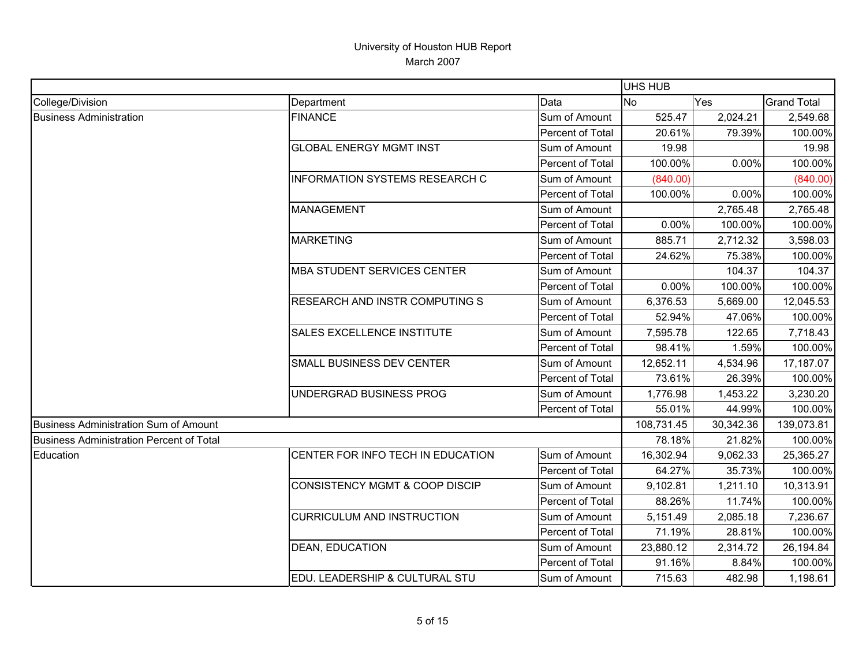|                                                 |                                           |                  | UHS HUB    |           |                    |
|-------------------------------------------------|-------------------------------------------|------------------|------------|-----------|--------------------|
| College/Division                                | Department                                | Data             | <b>No</b>  | Yes       | <b>Grand Total</b> |
| <b>Business Administration</b>                  | <b>FINANCE</b>                            | Sum of Amount    | 525.47     | 2,024.21  | 2,549.68           |
|                                                 |                                           | Percent of Total | 20.61%     | 79.39%    | 100.00%            |
|                                                 | <b>GLOBAL ENERGY MGMT INST</b>            | Sum of Amount    | 19.98      |           | 19.98              |
|                                                 |                                           | Percent of Total | 100.00%    | 0.00%     | 100.00%            |
|                                                 | INFORMATION SYSTEMS RESEARCH C            | Sum of Amount    | (840.00)   |           | (840.00)           |
|                                                 |                                           | Percent of Total | 100.00%    | 0.00%     | 100.00%            |
|                                                 | <b>MANAGEMENT</b>                         | Sum of Amount    |            | 2,765.48  | 2,765.48           |
|                                                 |                                           | Percent of Total | 0.00%      | 100.00%   | 100.00%            |
|                                                 | <b>MARKETING</b>                          | Sum of Amount    | 885.71     | 2,712.32  | 3,598.03           |
|                                                 |                                           | Percent of Total | 24.62%     | 75.38%    | 100.00%            |
|                                                 | <b>MBA STUDENT SERVICES CENTER</b>        | Sum of Amount    |            | 104.37    | 104.37             |
|                                                 |                                           | Percent of Total | 0.00%      | 100.00%   | 100.00%            |
|                                                 | RESEARCH AND INSTR COMPUTING S            | Sum of Amount    | 6,376.53   | 5,669.00  | 12,045.53          |
|                                                 |                                           | Percent of Total | 52.94%     | 47.06%    | 100.00%            |
|                                                 | SALES EXCELLENCE INSTITUTE                | Sum of Amount    | 7,595.78   | 122.65    | 7,718.43           |
|                                                 |                                           | Percent of Total | 98.41%     | 1.59%     | 100.00%            |
|                                                 | SMALL BUSINESS DEV CENTER                 | Sum of Amount    | 12,652.11  | 4,534.96  | 17,187.07          |
|                                                 |                                           | Percent of Total | 73.61%     | 26.39%    | 100.00%            |
|                                                 | UNDERGRAD BUSINESS PROG                   | Sum of Amount    | 1,776.98   | 1,453.22  | 3,230.20           |
|                                                 |                                           | Percent of Total | 55.01%     | 44.99%    | 100.00%            |
| Business Administration Sum of Amount           |                                           |                  | 108,731.45 | 30,342.36 | 139,073.81         |
| <b>Business Administration Percent of Total</b> |                                           |                  | 78.18%     | 21.82%    | 100.00%            |
| Education                                       | CENTER FOR INFO TECH IN EDUCATION         | Sum of Amount    | 16,302.94  | 9,062.33  | 25,365.27          |
|                                                 |                                           | Percent of Total | 64.27%     | 35.73%    | 100.00%            |
|                                                 | <b>CONSISTENCY MGMT &amp; COOP DISCIP</b> | Sum of Amount    | 9,102.81   | 1,211.10  | 10,313.91          |
|                                                 |                                           | Percent of Total | 88.26%     | 11.74%    | 100.00%            |
|                                                 | <b>CURRICULUM AND INSTRUCTION</b>         | Sum of Amount    | 5,151.49   | 2,085.18  | 7,236.67           |
|                                                 |                                           | Percent of Total | 71.19%     | 28.81%    | 100.00%            |
|                                                 | <b>DEAN, EDUCATION</b>                    | Sum of Amount    | 23,880.12  | 2,314.72  | 26,194.84          |
|                                                 |                                           | Percent of Total | 91.16%     | 8.84%     | 100.00%            |
|                                                 | EDU. LEADERSHIP & CULTURAL STU            | Sum of Amount    | 715.63     | 482.98    | 1,198.61           |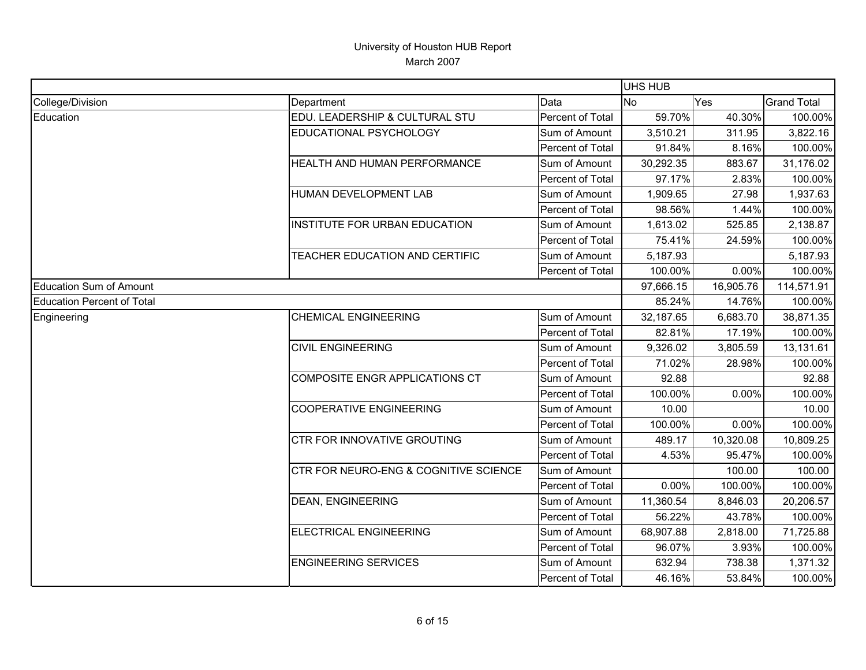|                            |                                       |                         | UHS HUB   |           |                    |
|----------------------------|---------------------------------------|-------------------------|-----------|-----------|--------------------|
| College/Division           | Department                            | Data                    | No        | Yes       | <b>Grand Total</b> |
| Education                  | EDU. LEADERSHIP & CULTURAL STU        | Percent of Total        | 59.70%    | 40.30%    | 100.00%            |
|                            | EDUCATIONAL PSYCHOLOGY                | Sum of Amount           | 3,510.21  | 311.95    | 3,822.16           |
|                            |                                       | Percent of Total        | 91.84%    | 8.16%     | 100.00%            |
|                            | HEALTH AND HUMAN PERFORMANCE          | Sum of Amount           | 30,292.35 | 883.67    | 31,176.02          |
|                            |                                       | <b>Percent of Total</b> | 97.17%    | 2.83%     | 100.00%            |
|                            | HUMAN DEVELOPMENT LAB                 | Sum of Amount           | 1,909.65  | 27.98     | 1,937.63           |
|                            |                                       | Percent of Total        | 98.56%    | 1.44%     | 100.00%            |
|                            | INSTITUTE FOR URBAN EDUCATION         | Sum of Amount           | 1,613.02  | 525.85    | 2,138.87           |
|                            |                                       | Percent of Total        | 75.41%    | 24.59%    | 100.00%            |
|                            | TEACHER EDUCATION AND CERTIFIC        | Sum of Amount           | 5,187.93  |           | 5,187.93           |
|                            |                                       | Percent of Total        | 100.00%   | 0.00%     | 100.00%            |
| Education Sum of Amount    |                                       |                         | 97,666.15 | 16,905.76 | 114,571.91         |
| Education Percent of Total |                                       |                         | 85.24%    | 14.76%    | 100.00%            |
| Engineering                | <b>CHEMICAL ENGINEERING</b>           | Sum of Amount           | 32,187.65 | 6,683.70  | 38,871.35          |
|                            |                                       | Percent of Total        | 82.81%    | 17.19%    | 100.00%            |
|                            | <b>CIVIL ENGINEERING</b>              | Sum of Amount           | 9,326.02  | 3,805.59  | 13,131.61          |
|                            |                                       | Percent of Total        | 71.02%    | 28.98%    | 100.00%            |
|                            | COMPOSITE ENGR APPLICATIONS CT        | Sum of Amount           | 92.88     |           | 92.88              |
|                            |                                       | Percent of Total        | 100.00%   | 0.00%     | 100.00%            |
|                            | <b>COOPERATIVE ENGINEERING</b>        | Sum of Amount           | 10.00     |           | 10.00              |
|                            |                                       | Percent of Total        | 100.00%   | 0.00%     | 100.00%            |
|                            | CTR FOR INNOVATIVE GROUTING           | Sum of Amount           | 489.17    | 10,320.08 | 10,809.25          |
|                            |                                       | Percent of Total        | 4.53%     | 95.47%    | 100.00%            |
|                            | CTR FOR NEURO-ENG & COGNITIVE SCIENCE | Sum of Amount           |           | 100.00    | 100.00             |
|                            |                                       | <b>Percent of Total</b> | 0.00%     | 100.00%   | 100.00%            |
|                            | <b>DEAN, ENGINEERING</b>              | Sum of Amount           | 11,360.54 | 8,846.03  | 20,206.57          |
|                            |                                       | Percent of Total        | 56.22%    | 43.78%    | 100.00%            |
|                            | <b>ELECTRICAL ENGINEERING</b>         | Sum of Amount           | 68,907.88 | 2,818.00  | 71,725.88          |
|                            |                                       | Percent of Total        | 96.07%    | 3.93%     | 100.00%            |
|                            | <b>ENGINEERING SERVICES</b>           | Sum of Amount           | 632.94    | 738.38    | 1,371.32           |
|                            |                                       | Percent of Total        | 46.16%    | 53.84%    | 100.00%            |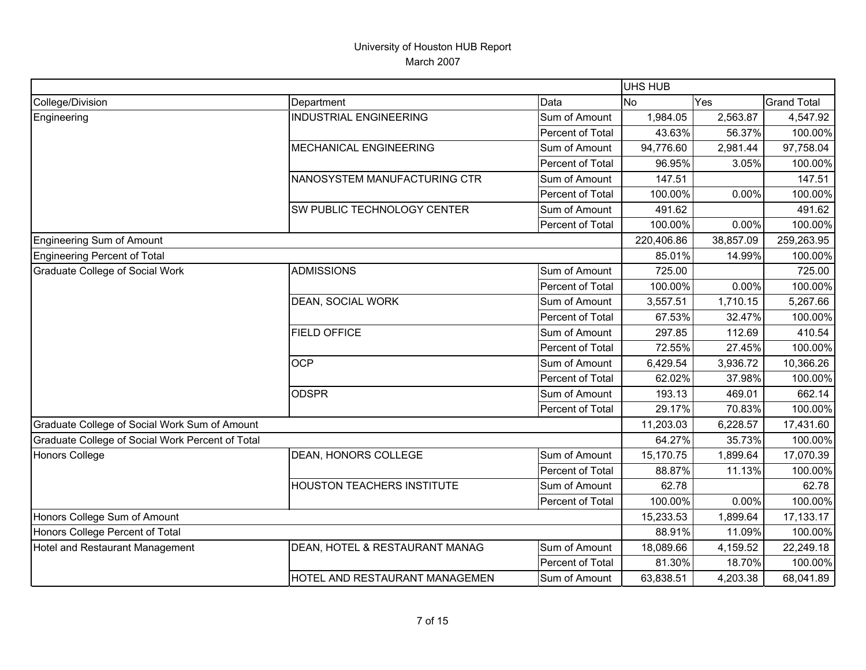|                                                  |                                |                  | UHS HUB    |           |                    |
|--------------------------------------------------|--------------------------------|------------------|------------|-----------|--------------------|
| College/Division                                 | Department                     | Data             | <b>No</b>  | Yes       | <b>Grand Total</b> |
| Engineering                                      | <b>INDUSTRIAL ENGINEERING</b>  | Sum of Amount    | 1,984.05   | 2,563.87  | 4,547.92           |
|                                                  |                                | Percent of Total | 43.63%     | 56.37%    | 100.00%            |
|                                                  | MECHANICAL ENGINEERING         | Sum of Amount    | 94,776.60  | 2,981.44  | 97,758.04          |
|                                                  |                                | Percent of Total | 96.95%     | 3.05%     | 100.00%            |
|                                                  | NANOSYSTEM MANUFACTURING CTR   | Sum of Amount    | 147.51     |           | 147.51             |
|                                                  |                                | Percent of Total | 100.00%    | 0.00%     | 100.00%            |
|                                                  | SW PUBLIC TECHNOLOGY CENTER    | Sum of Amount    | 491.62     |           | 491.62             |
|                                                  |                                | Percent of Total | 100.00%    | 0.00%     | 100.00%            |
| Engineering Sum of Amount                        |                                |                  | 220,406.86 | 38,857.09 | 259,263.95         |
| Engineering Percent of Total                     |                                |                  | 85.01%     | 14.99%    | 100.00%            |
| Graduate College of Social Work                  | <b>ADMISSIONS</b>              | Sum of Amount    | 725.00     |           | 725.00             |
|                                                  |                                | Percent of Total | 100.00%    | 0.00%     | 100.00%            |
|                                                  | DEAN, SOCIAL WORK              | Sum of Amount    | 3,557.51   | 1,710.15  | 5,267.66           |
|                                                  |                                | Percent of Total | 67.53%     | 32.47%    | 100.00%            |
|                                                  | <b>FIELD OFFICE</b>            | Sum of Amount    | 297.85     | 112.69    | 410.54             |
|                                                  |                                | Percent of Total | 72.55%     | 27.45%    | 100.00%            |
|                                                  | <b>OCP</b>                     | Sum of Amount    | 6,429.54   | 3,936.72  | 10,366.26          |
|                                                  |                                | Percent of Total | 62.02%     | 37.98%    | 100.00%            |
|                                                  | <b>ODSPR</b>                   | Sum of Amount    | 193.13     | 469.01    | 662.14             |
|                                                  |                                | Percent of Total | 29.17%     | 70.83%    | 100.00%            |
| Graduate College of Social Work Sum of Amount    |                                |                  | 11,203.03  | 6,228.57  | 17,431.60          |
| Graduate College of Social Work Percent of Total |                                |                  | 64.27%     | 35.73%    | 100.00%            |
| <b>Honors College</b>                            | DEAN, HONORS COLLEGE           | Sum of Amount    | 15,170.75  | 1,899.64  | 17,070.39          |
|                                                  |                                | Percent of Total | 88.87%     | 11.13%    | 100.00%            |
|                                                  | HOUSTON TEACHERS INSTITUTE     | Sum of Amount    | 62.78      |           | 62.78              |
|                                                  |                                | Percent of Total | 100.00%    | 0.00%     | 100.00%            |
| Honors College Sum of Amount                     |                                |                  | 15,233.53  | 1,899.64  | 17,133.17          |
| Honors College Percent of Total                  |                                |                  | 88.91%     | 11.09%    | 100.00%            |
| Hotel and Restaurant Management                  | DEAN, HOTEL & RESTAURANT MANAG | Sum of Amount    | 18,089.66  | 4,159.52  | 22,249.18          |
|                                                  |                                | Percent of Total | 81.30%     | 18.70%    | 100.00%            |
|                                                  | HOTEL AND RESTAURANT MANAGEMEN | Sum of Amount    | 63,838.51  | 4,203.38  | 68,041.89          |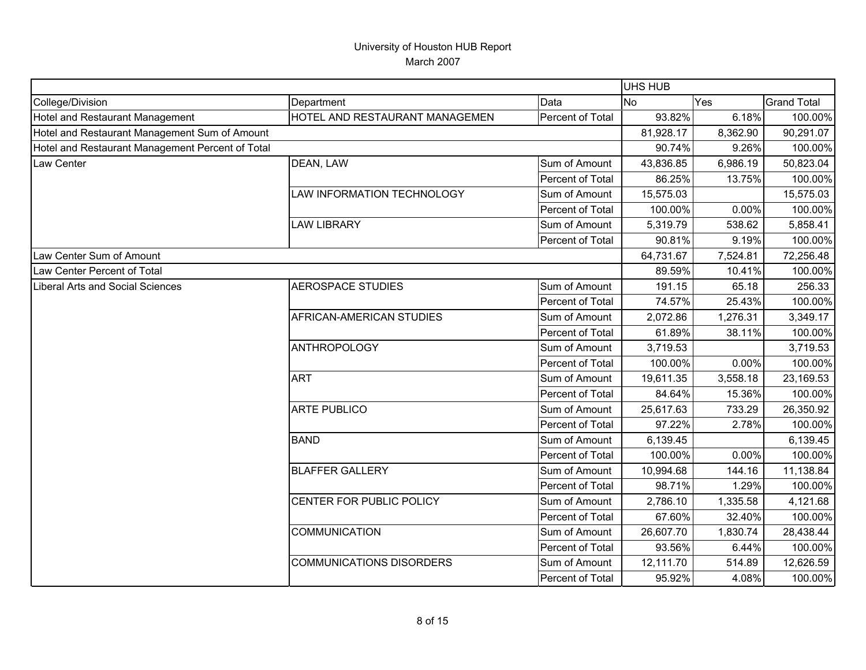|                                                  |                                 |                  | UHS HUB   |          |                    |
|--------------------------------------------------|---------------------------------|------------------|-----------|----------|--------------------|
| College/Division                                 | Department                      | Data             | No        | Yes      | <b>Grand Total</b> |
| Hotel and Restaurant Management                  | HOTEL AND RESTAURANT MANAGEMEN  | Percent of Total | 93.82%    | 6.18%    | 100.00%            |
| Hotel and Restaurant Management Sum of Amount    |                                 |                  | 81,928.17 | 8,362.90 | 90,291.07          |
| Hotel and Restaurant Management Percent of Total |                                 |                  | 90.74%    | 9.26%    | 100.00%            |
| Law Center                                       | DEAN, LAW                       | Sum of Amount    | 43,836.85 | 6,986.19 | 50,823.04          |
|                                                  |                                 | Percent of Total | 86.25%    | 13.75%   | 100.00%            |
|                                                  | LAW INFORMATION TECHNOLOGY      | Sum of Amount    | 15,575.03 |          | 15,575.03          |
|                                                  |                                 | Percent of Total | 100.00%   | 0.00%    | 100.00%            |
|                                                  | <b>LAW LIBRARY</b>              | Sum of Amount    | 5,319.79  | 538.62   | 5,858.41           |
|                                                  |                                 | Percent of Total | 90.81%    | 9.19%    | 100.00%            |
| Law Center Sum of Amount                         |                                 |                  | 64,731.67 | 7,524.81 | 72,256.48          |
| Law Center Percent of Total                      |                                 |                  | 89.59%    | 10.41%   | 100.00%            |
| Liberal Arts and Social Sciences                 | <b>AEROSPACE STUDIES</b>        | Sum of Amount    | 191.15    | 65.18    | 256.33             |
|                                                  |                                 | Percent of Total | 74.57%    | 25.43%   | 100.00%            |
|                                                  | AFRICAN-AMERICAN STUDIES        | Sum of Amount    | 2,072.86  | 1,276.31 | 3,349.17           |
|                                                  |                                 | Percent of Total | 61.89%    | 38.11%   | 100.00%            |
|                                                  | <b>ANTHROPOLOGY</b>             | Sum of Amount    | 3,719.53  |          | 3,719.53           |
|                                                  |                                 | Percent of Total | 100.00%   | 0.00%    | 100.00%            |
|                                                  | <b>ART</b>                      | Sum of Amount    | 19,611.35 | 3,558.18 | 23,169.53          |
|                                                  |                                 | Percent of Total | 84.64%    | 15.36%   | 100.00%            |
|                                                  | <b>ARTE PUBLICO</b>             | Sum of Amount    | 25,617.63 | 733.29   | 26,350.92          |
|                                                  |                                 | Percent of Total | 97.22%    | 2.78%    | 100.00%            |
|                                                  | <b>BAND</b>                     | Sum of Amount    | 6,139.45  |          | 6,139.45           |
|                                                  |                                 | Percent of Total | 100.00%   | 0.00%    | 100.00%            |
|                                                  | <b>BLAFFER GALLERY</b>          | Sum of Amount    | 10,994.68 | 144.16   | 11,138.84          |
|                                                  |                                 | Percent of Total | 98.71%    | 1.29%    | 100.00%            |
|                                                  | CENTER FOR PUBLIC POLICY        | Sum of Amount    | 2,786.10  | 1,335.58 | 4,121.68           |
|                                                  |                                 | Percent of Total | 67.60%    | 32.40%   | 100.00%            |
|                                                  | <b>COMMUNICATION</b>            | Sum of Amount    | 26,607.70 | 1,830.74 | 28,438.44          |
|                                                  |                                 | Percent of Total | 93.56%    | 6.44%    | 100.00%            |
|                                                  | <b>COMMUNICATIONS DISORDERS</b> | Sum of Amount    | 12,111.70 | 514.89   | 12,626.59          |
|                                                  |                                 | Percent of Total | 95.92%    | 4.08%    | 100.00%            |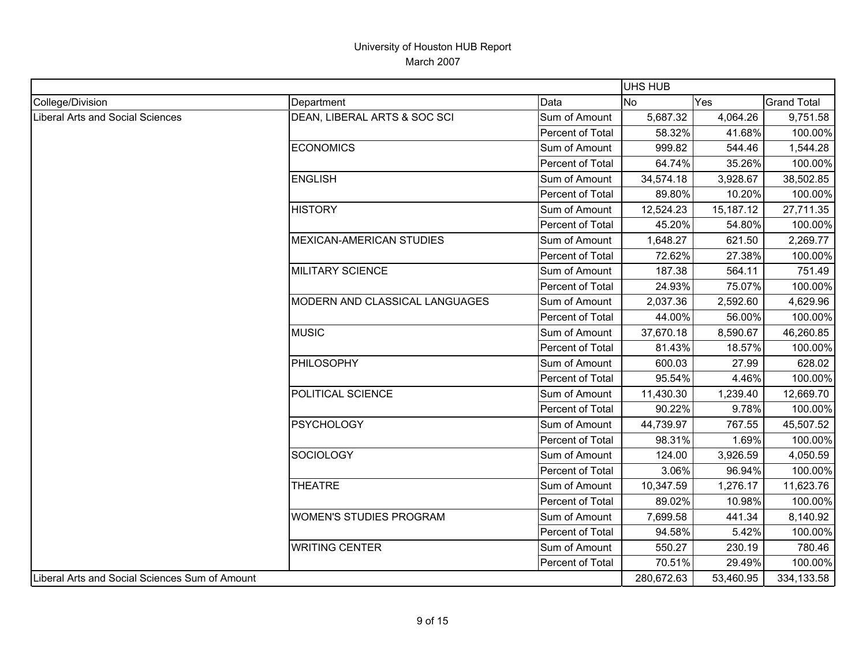|                                                |                                 |                  | UHS HUB    |           |                    |
|------------------------------------------------|---------------------------------|------------------|------------|-----------|--------------------|
| College/Division                               | Department                      | Data             | <b>No</b>  | Yes       | <b>Grand Total</b> |
| Liberal Arts and Social Sciences               | DEAN, LIBERAL ARTS & SOC SCI    | Sum of Amount    | 5,687.32   | 4,064.26  | 9,751.58           |
|                                                |                                 | Percent of Total | 58.32%     | 41.68%    | 100.00%            |
|                                                | <b>ECONOMICS</b>                | Sum of Amount    | 999.82     | 544.46    | 1,544.28           |
|                                                |                                 | Percent of Total | 64.74%     | 35.26%    | 100.00%            |
|                                                | <b>ENGLISH</b>                  | Sum of Amount    | 34,574.18  | 3,928.67  | 38,502.85          |
|                                                |                                 | Percent of Total | 89.80%     | 10.20%    | 100.00%            |
|                                                | <b>HISTORY</b>                  | Sum of Amount    | 12,524.23  | 15,187.12 | 27,711.35          |
|                                                |                                 | Percent of Total | 45.20%     | 54.80%    | 100.00%            |
|                                                | <b>MEXICAN-AMERICAN STUDIES</b> | Sum of Amount    | 1,648.27   | 621.50    | 2,269.77           |
|                                                |                                 | Percent of Total | 72.62%     | 27.38%    | 100.00%            |
|                                                | <b>MILITARY SCIENCE</b>         | Sum of Amount    | 187.38     | 564.11    | 751.49             |
|                                                |                                 | Percent of Total | 24.93%     | 75.07%    | 100.00%            |
|                                                | MODERN AND CLASSICAL LANGUAGES  | Sum of Amount    | 2,037.36   | 2,592.60  | 4,629.96           |
|                                                |                                 | Percent of Total | 44.00%     | 56.00%    | 100.00%            |
|                                                | <b>MUSIC</b>                    | Sum of Amount    | 37,670.18  | 8,590.67  | 46,260.85          |
|                                                |                                 | Percent of Total | 81.43%     | 18.57%    | 100.00%            |
|                                                | PHILOSOPHY                      | Sum of Amount    | 600.03     | 27.99     | 628.02             |
|                                                |                                 | Percent of Total | 95.54%     | 4.46%     | 100.00%            |
|                                                | POLITICAL SCIENCE               | Sum of Amount    | 11,430.30  | 1,239.40  | 12,669.70          |
|                                                |                                 | Percent of Total | 90.22%     | 9.78%     | 100.00%            |
|                                                | <b>PSYCHOLOGY</b>               | Sum of Amount    | 44,739.97  | 767.55    | 45,507.52          |
|                                                |                                 | Percent of Total | 98.31%     | 1.69%     | 100.00%            |
|                                                | <b>SOCIOLOGY</b>                | Sum of Amount    | 124.00     | 3,926.59  | 4,050.59           |
|                                                |                                 | Percent of Total | 3.06%      | 96.94%    | 100.00%            |
|                                                | <b>THEATRE</b>                  | Sum of Amount    | 10,347.59  | 1,276.17  | 11,623.76          |
|                                                |                                 | Percent of Total | 89.02%     | 10.98%    | 100.00%            |
|                                                | <b>WOMEN'S STUDIES PROGRAM</b>  | Sum of Amount    | 7,699.58   | 441.34    | 8,140.92           |
|                                                |                                 | Percent of Total | 94.58%     | 5.42%     | 100.00%            |
|                                                | <b>WRITING CENTER</b>           | Sum of Amount    | 550.27     | 230.19    | 780.46             |
|                                                |                                 | Percent of Total | 70.51%     | 29.49%    | 100.00%            |
| Liberal Arts and Social Sciences Sum of Amount |                                 |                  | 280,672.63 | 53,460.95 | 334,133.58         |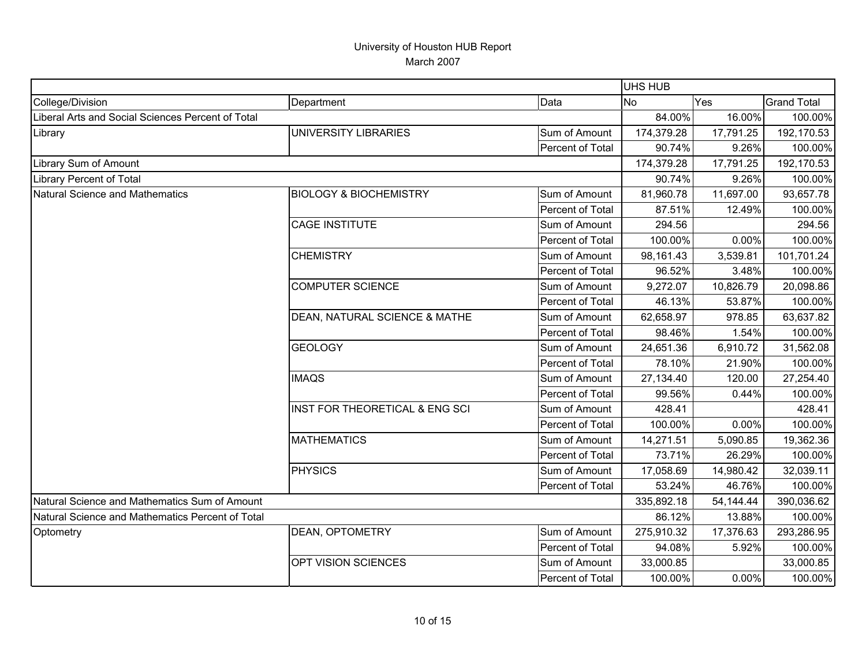|                                                   |                                           |                  | <b>UHS HUB</b> |           |                    |
|---------------------------------------------------|-------------------------------------------|------------------|----------------|-----------|--------------------|
| College/Division                                  | Department                                | Data             | <b>No</b>      | Yes       | <b>Grand Total</b> |
| Liberal Arts and Social Sciences Percent of Total |                                           |                  | 84.00%         | 16.00%    | 100.00%            |
| Library                                           | UNIVERSITY LIBRARIES                      | Sum of Amount    | 174,379.28     | 17,791.25 | 192,170.53         |
|                                                   |                                           | Percent of Total | 90.74%         | 9.26%     | 100.00%            |
| Library Sum of Amount                             |                                           |                  | 174,379.28     | 17,791.25 | 192,170.53         |
| <b>Library Percent of Total</b>                   |                                           |                  | 90.74%         | 9.26%     | 100.00%            |
| Natural Science and Mathematics                   | <b>BIOLOGY &amp; BIOCHEMISTRY</b>         | Sum of Amount    | 81,960.78      | 11,697.00 | 93,657.78          |
|                                                   |                                           | Percent of Total | 87.51%         | 12.49%    | 100.00%            |
|                                                   | <b>CAGE INSTITUTE</b>                     | Sum of Amount    | 294.56         |           | 294.56             |
|                                                   |                                           | Percent of Total | 100.00%        | 0.00%     | 100.00%            |
|                                                   | <b>CHEMISTRY</b>                          | Sum of Amount    | 98,161.43      | 3,539.81  | 101,701.24         |
|                                                   |                                           | Percent of Total | 96.52%         | 3.48%     | 100.00%            |
|                                                   | <b>COMPUTER SCIENCE</b>                   | Sum of Amount    | 9,272.07       | 10,826.79 | 20,098.86          |
|                                                   |                                           | Percent of Total | 46.13%         | 53.87%    | 100.00%            |
|                                                   | DEAN, NATURAL SCIENCE & MATHE             | Sum of Amount    | 62,658.97      | 978.85    | 63,637.82          |
|                                                   |                                           | Percent of Total | 98.46%         | 1.54%     | 100.00%            |
|                                                   | <b>GEOLOGY</b>                            | Sum of Amount    | 24,651.36      | 6,910.72  | 31,562.08          |
|                                                   |                                           | Percent of Total | 78.10%         | 21.90%    | 100.00%            |
|                                                   | <b>IMAQS</b>                              | Sum of Amount    | 27,134.40      | 120.00    | 27,254.40          |
|                                                   |                                           | Percent of Total | 99.56%         | 0.44%     | 100.00%            |
|                                                   | <b>INST FOR THEORETICAL &amp; ENG SCI</b> | Sum of Amount    | 428.41         |           | 428.41             |
|                                                   |                                           | Percent of Total | 100.00%        | 0.00%     | 100.00%            |
|                                                   | <b>MATHEMATICS</b>                        | Sum of Amount    | 14,271.51      | 5,090.85  | 19,362.36          |
|                                                   |                                           | Percent of Total | 73.71%         | 26.29%    | 100.00%            |
|                                                   | <b>PHYSICS</b>                            | Sum of Amount    | 17,058.69      | 14,980.42 | 32,039.11          |
|                                                   |                                           | Percent of Total | 53.24%         | 46.76%    | 100.00%            |
| Natural Science and Mathematics Sum of Amount     |                                           |                  | 335,892.18     | 54,144.44 | 390,036.62         |
| Natural Science and Mathematics Percent of Total  |                                           |                  | 86.12%         | 13.88%    | 100.00%            |
| Optometry                                         | <b>DEAN, OPTOMETRY</b>                    | Sum of Amount    | 275,910.32     | 17,376.63 | 293,286.95         |
|                                                   |                                           | Percent of Total | 94.08%         | 5.92%     | 100.00%            |
|                                                   | OPT VISION SCIENCES                       | Sum of Amount    | 33,000.85      |           | 33,000.85          |
|                                                   |                                           | Percent of Total | 100.00%        | 0.00%     | 100.00%            |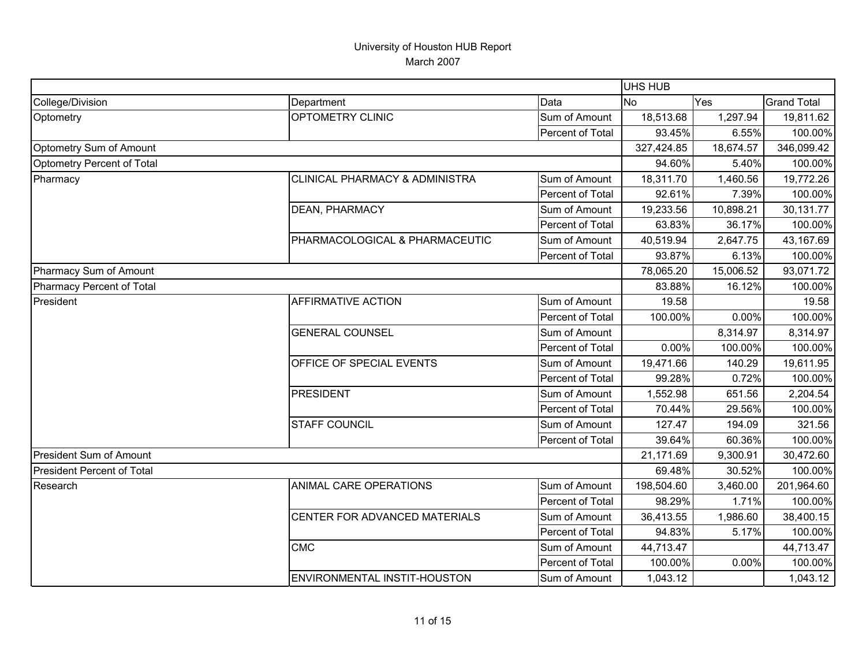|                                   |                                           |                  | UHS HUB    |           |                    |
|-----------------------------------|-------------------------------------------|------------------|------------|-----------|--------------------|
| College/Division                  | Department                                | Data             | <b>No</b>  | Yes       | <b>Grand Total</b> |
| Optometry                         | OPTOMETRY CLINIC                          | Sum of Amount    | 18,513.68  | 1,297.94  | 19,811.62          |
|                                   |                                           | Percent of Total | 93.45%     | 6.55%     | 100.00%            |
| Optometry Sum of Amount           |                                           |                  | 327,424.85 | 18,674.57 | 346,099.42         |
| Optometry Percent of Total        |                                           |                  | 94.60%     | 5.40%     | 100.00%            |
| Pharmacy                          | <b>CLINICAL PHARMACY &amp; ADMINISTRA</b> | Sum of Amount    | 18,311.70  | 1,460.56  | 19,772.26          |
|                                   |                                           | Percent of Total | 92.61%     | 7.39%     | 100.00%            |
|                                   | <b>DEAN, PHARMACY</b>                     | Sum of Amount    | 19,233.56  | 10,898.21 | 30,131.77          |
|                                   |                                           | Percent of Total | 63.83%     | 36.17%    | 100.00%            |
|                                   | PHARMACOLOGICAL & PHARMACEUTIC            | Sum of Amount    | 40,519.94  | 2,647.75  | 43,167.69          |
|                                   |                                           | Percent of Total | 93.87%     | 6.13%     | 100.00%            |
| Pharmacy Sum of Amount            |                                           |                  | 78,065.20  | 15,006.52 | 93,071.72          |
| Pharmacy Percent of Total         |                                           |                  | 83.88%     | 16.12%    | 100.00%            |
| President                         | <b>AFFIRMATIVE ACTION</b>                 | Sum of Amount    | 19.58      |           | 19.58              |
|                                   |                                           | Percent of Total | 100.00%    | 0.00%     | 100.00%            |
|                                   | <b>GENERAL COUNSEL</b>                    | Sum of Amount    |            | 8,314.97  | 8,314.97           |
|                                   |                                           | Percent of Total | 0.00%      | 100.00%   | 100.00%            |
|                                   | OFFICE OF SPECIAL EVENTS                  | Sum of Amount    | 19,471.66  | 140.29    | 19,611.95          |
|                                   |                                           | Percent of Total | 99.28%     | 0.72%     | 100.00%            |
|                                   | PRESIDENT                                 | Sum of Amount    | 1,552.98   | 651.56    | 2,204.54           |
|                                   |                                           | Percent of Total | 70.44%     | 29.56%    | 100.00%            |
|                                   | <b>STAFF COUNCIL</b>                      | Sum of Amount    | 127.47     | 194.09    | 321.56             |
|                                   |                                           | Percent of Total | 39.64%     | 60.36%    | 100.00%            |
| President Sum of Amount           |                                           |                  | 21,171.69  | 9,300.91  | 30,472.60          |
| <b>President Percent of Total</b> |                                           |                  | 69.48%     | 30.52%    | 100.00%            |
| Research                          | ANIMAL CARE OPERATIONS                    | Sum of Amount    | 198,504.60 | 3,460.00  | 201,964.60         |
|                                   |                                           | Percent of Total | 98.29%     | 1.71%     | 100.00%            |
|                                   | CENTER FOR ADVANCED MATERIALS             | Sum of Amount    | 36,413.55  | 1,986.60  | 38,400.15          |
|                                   |                                           | Percent of Total | 94.83%     | 5.17%     | 100.00%            |
|                                   | <b>CMC</b>                                | Sum of Amount    | 44,713.47  |           | 44,713.47          |
|                                   |                                           | Percent of Total | 100.00%    | 0.00%     | 100.00%            |
|                                   | ENVIRONMENTAL INSTIT-HOUSTON              | Sum of Amount    | 1,043.12   |           | 1,043.12           |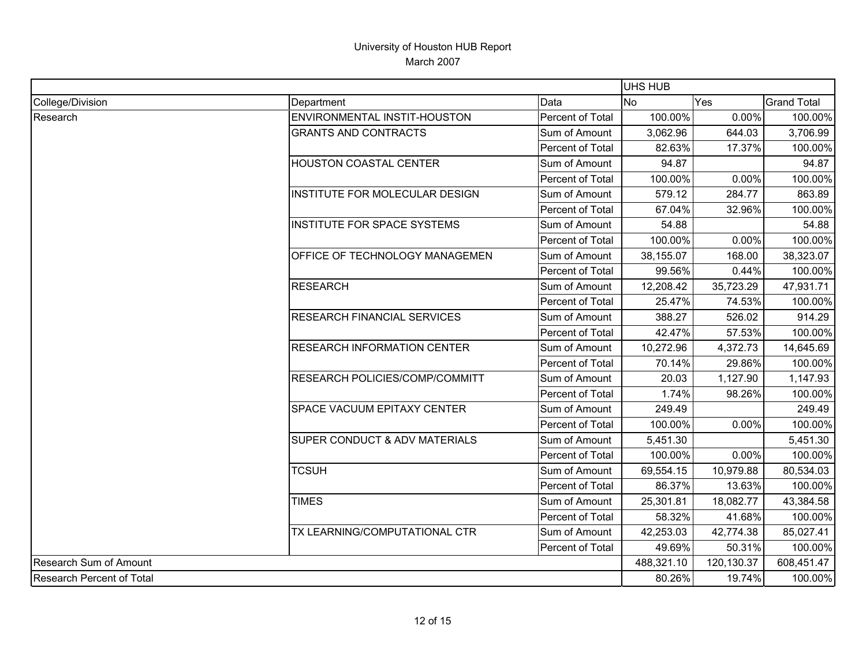|                           |                                    |                  | UHS HUB    |            |                    |
|---------------------------|------------------------------------|------------------|------------|------------|--------------------|
| College/Division          | Department                         | Data             | <b>No</b>  | Yes        | <b>Grand Total</b> |
| Research                  | ENVIRONMENTAL INSTIT-HOUSTON       | Percent of Total | 100.00%    | 0.00%      | 100.00%            |
|                           | <b>GRANTS AND CONTRACTS</b>        | Sum of Amount    | 3,062.96   | 644.03     | 3,706.99           |
|                           |                                    | Percent of Total | 82.63%     | 17.37%     | 100.00%            |
|                           | HOUSTON COASTAL CENTER             | Sum of Amount    | 94.87      |            | 94.87              |
|                           |                                    | Percent of Total | 100.00%    | 0.00%      | 100.00%            |
|                           | INSTITUTE FOR MOLECULAR DESIGN     | Sum of Amount    | 579.12     | 284.77     | 863.89             |
|                           |                                    | Percent of Total | 67.04%     | 32.96%     | 100.00%            |
|                           | <b>INSTITUTE FOR SPACE SYSTEMS</b> | Sum of Amount    | 54.88      |            | 54.88              |
|                           |                                    | Percent of Total | 100.00%    | 0.00%      | 100.00%            |
|                           | OFFICE OF TECHNOLOGY MANAGEMEN     | Sum of Amount    | 38,155.07  | 168.00     | 38,323.07          |
|                           |                                    | Percent of Total | 99.56%     | 0.44%      | 100.00%            |
|                           | <b>RESEARCH</b>                    | Sum of Amount    | 12,208.42  | 35,723.29  | 47,931.71          |
|                           |                                    | Percent of Total | 25.47%     | 74.53%     | 100.00%            |
|                           | RESEARCH FINANCIAL SERVICES        | Sum of Amount    | 388.27     | 526.02     | 914.29             |
|                           |                                    | Percent of Total | 42.47%     | 57.53%     | 100.00%            |
|                           | <b>RESEARCH INFORMATION CENTER</b> | Sum of Amount    | 10,272.96  | 4,372.73   | 14,645.69          |
|                           |                                    | Percent of Total | 70.14%     | 29.86%     | 100.00%            |
|                           | RESEARCH POLICIES/COMP/COMMITT     | Sum of Amount    | 20.03      | 1,127.90   | 1,147.93           |
|                           |                                    | Percent of Total | 1.74%      | 98.26%     | 100.00%            |
|                           | SPACE VACUUM EPITAXY CENTER        | Sum of Amount    | 249.49     |            | 249.49             |
|                           |                                    | Percent of Total | 100.00%    | 0.00%      | 100.00%            |
|                           | SUPER CONDUCT & ADV MATERIALS      | Sum of Amount    | 5,451.30   |            | 5,451.30           |
|                           |                                    | Percent of Total | 100.00%    | 0.00%      | 100.00%            |
|                           | <b>TCSUH</b>                       | Sum of Amount    | 69,554.15  | 10,979.88  | 80,534.03          |
|                           |                                    | Percent of Total | 86.37%     | 13.63%     | 100.00%            |
|                           | <b>TIMES</b>                       | Sum of Amount    | 25,301.81  | 18,082.77  | 43,384.58          |
|                           |                                    | Percent of Total | 58.32%     | 41.68%     | 100.00%            |
|                           | TX LEARNING/COMPUTATIONAL CTR      | Sum of Amount    | 42,253.03  | 42,774.38  | 85,027.41          |
|                           |                                    | Percent of Total | 49.69%     | 50.31%     | 100.00%            |
| Research Sum of Amount    |                                    |                  | 488,321.10 | 120,130.37 | 608,451.47         |
| Research Percent of Total |                                    |                  | 80.26%     | 19.74%     | 100.00%            |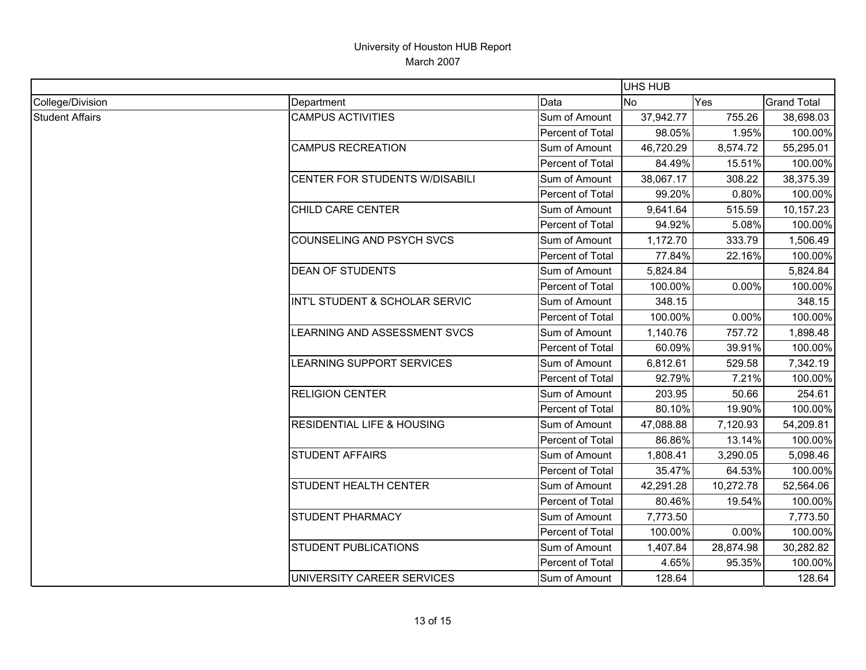|                        |                                       |                  | UHS HUB   |           |                    |
|------------------------|---------------------------------------|------------------|-----------|-----------|--------------------|
| College/Division       | Department                            | Data             | <b>No</b> | Yes       | <b>Grand Total</b> |
| <b>Student Affairs</b> | <b>CAMPUS ACTIVITIES</b>              | Sum of Amount    | 37,942.77 | 755.26    | 38,698.03          |
|                        |                                       | Percent of Total | 98.05%    | 1.95%     | 100.00%            |
|                        | <b>CAMPUS RECREATION</b>              | Sum of Amount    | 46,720.29 | 8,574.72  | 55,295.01          |
|                        |                                       | Percent of Total | 84.49%    | 15.51%    | 100.00%            |
|                        | CENTER FOR STUDENTS W/DISABILI        | Sum of Amount    | 38,067.17 | 308.22    | 38,375.39          |
|                        |                                       | Percent of Total | 99.20%    | 0.80%     | 100.00%            |
|                        | CHILD CARE CENTER                     | Sum of Amount    | 9,641.64  | 515.59    | 10,157.23          |
|                        |                                       | Percent of Total | 94.92%    | 5.08%     | 100.00%            |
|                        | COUNSELING AND PSYCH SVCS             | Sum of Amount    | 1,172.70  | 333.79    | 1,506.49           |
|                        |                                       | Percent of Total | 77.84%    | 22.16%    | 100.00%            |
|                        | <b>DEAN OF STUDENTS</b>               | Sum of Amount    | 5,824.84  |           | 5,824.84           |
|                        |                                       | Percent of Total | 100.00%   | 0.00%     | 100.00%            |
|                        | INT'L STUDENT & SCHOLAR SERVIC        | Sum of Amount    | 348.15    |           | 348.15             |
|                        |                                       | Percent of Total | 100.00%   | 0.00%     | 100.00%            |
|                        | LEARNING AND ASSESSMENT SVCS          | Sum of Amount    | 1,140.76  | 757.72    | 1,898.48           |
|                        |                                       | Percent of Total | 60.09%    | 39.91%    | 100.00%            |
|                        | LEARNING SUPPORT SERVICES             | Sum of Amount    | 6,812.61  | 529.58    | 7,342.19           |
|                        |                                       | Percent of Total | 92.79%    | 7.21%     | 100.00%            |
|                        | <b>RELIGION CENTER</b>                | Sum of Amount    | 203.95    | 50.66     | 254.61             |
|                        |                                       | Percent of Total | 80.10%    | 19.90%    | 100.00%            |
|                        | <b>RESIDENTIAL LIFE &amp; HOUSING</b> | Sum of Amount    | 47,088.88 | 7,120.93  | 54,209.81          |
|                        |                                       | Percent of Total | 86.86%    | 13.14%    | 100.00%            |
|                        | <b>STUDENT AFFAIRS</b>                | Sum of Amount    | 1,808.41  | 3,290.05  | 5,098.46           |
|                        |                                       | Percent of Total | 35.47%    | 64.53%    | 100.00%            |
|                        | <b>STUDENT HEALTH CENTER</b>          | Sum of Amount    | 42,291.28 | 10,272.78 | 52,564.06          |
|                        |                                       | Percent of Total | 80.46%    | 19.54%    | 100.00%            |
|                        | <b>STUDENT PHARMACY</b>               | Sum of Amount    | 7,773.50  |           | 7,773.50           |
|                        |                                       | Percent of Total | 100.00%   | 0.00%     | 100.00%            |
|                        | <b>STUDENT PUBLICATIONS</b>           | Sum of Amount    | 1,407.84  | 28,874.98 | 30,282.82          |
|                        |                                       | Percent of Total | 4.65%     | 95.35%    | 100.00%            |
|                        | UNIVERSITY CAREER SERVICES            | Sum of Amount    | 128.64    |           | 128.64             |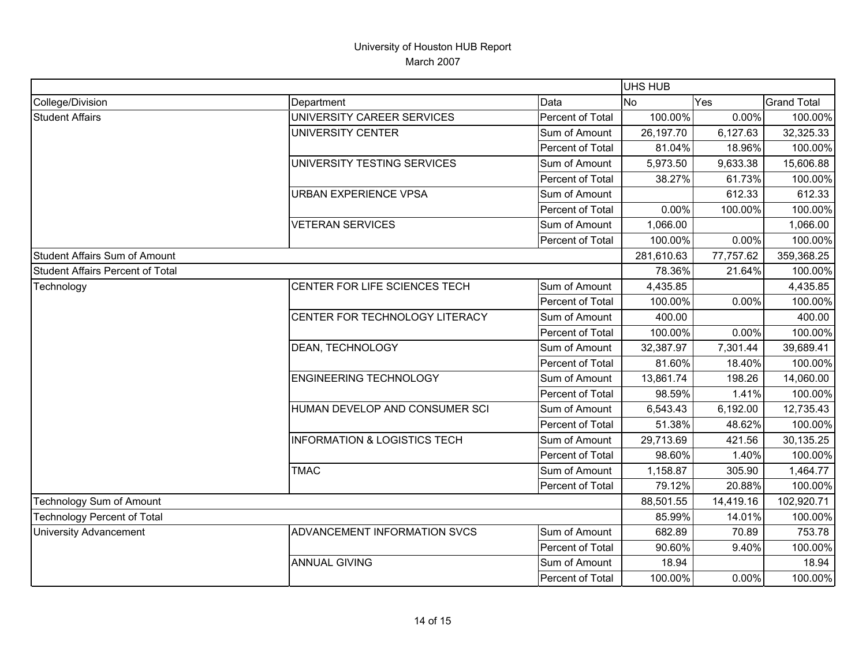|                                         |                                         |                         | UHS HUB    |           |                    |
|-----------------------------------------|-----------------------------------------|-------------------------|------------|-----------|--------------------|
| College/Division                        | Department                              | Data                    | <b>No</b>  | Yes       | <b>Grand Total</b> |
| <b>Student Affairs</b>                  | UNIVERSITY CAREER SERVICES              | Percent of Total        | 100.00%    | 0.00%     | 100.00%            |
|                                         | UNIVERSITY CENTER                       | Sum of Amount           | 26,197.70  | 6,127.63  | 32,325.33          |
|                                         |                                         | Percent of Total        | 81.04%     | 18.96%    | 100.00%            |
|                                         | UNIVERSITY TESTING SERVICES             | Sum of Amount           | 5,973.50   | 9,633.38  | 15,606.88          |
|                                         |                                         | Percent of Total        | 38.27%     | 61.73%    | 100.00%            |
|                                         | <b>URBAN EXPERIENCE VPSA</b>            | Sum of Amount           |            | 612.33    | 612.33             |
|                                         |                                         | Percent of Total        | 0.00%      | 100.00%   | 100.00%            |
|                                         | <b>VETERAN SERVICES</b>                 | Sum of Amount           | 1,066.00   |           | 1,066.00           |
|                                         |                                         | Percent of Total        | 100.00%    | 0.00%     | 100.00%            |
| <b>Student Affairs Sum of Amount</b>    |                                         |                         | 281,610.63 | 77,757.62 | 359,368.25         |
| <b>Student Affairs Percent of Total</b> |                                         |                         | 78.36%     | 21.64%    | 100.00%            |
| Technology                              | CENTER FOR LIFE SCIENCES TECH           | Sum of Amount           | 4,435.85   |           | 4,435.85           |
|                                         |                                         | Percent of Total        | 100.00%    | 0.00%     | 100.00%            |
|                                         | CENTER FOR TECHNOLOGY LITERACY          | Sum of Amount           | 400.00     |           | 400.00             |
|                                         |                                         | Percent of Total        | 100.00%    | 0.00%     | 100.00%            |
|                                         | <b>DEAN, TECHNOLOGY</b>                 | Sum of Amount           | 32,387.97  | 7,301.44  | 39,689.41          |
|                                         |                                         | <b>Percent of Total</b> | 81.60%     | 18.40%    | 100.00%            |
|                                         | <b>ENGINEERING TECHNOLOGY</b>           | Sum of Amount           | 13,861.74  | 198.26    | 14,060.00          |
|                                         |                                         | Percent of Total        | 98.59%     | 1.41%     | 100.00%            |
|                                         | HUMAN DEVELOP AND CONSUMER SCI          | Sum of Amount           | 6,543.43   | 6,192.00  | 12,735.43          |
|                                         |                                         | Percent of Total        | 51.38%     | 48.62%    | 100.00%            |
|                                         | <b>INFORMATION &amp; LOGISTICS TECH</b> | Sum of Amount           | 29,713.69  | 421.56    | 30,135.25          |
|                                         |                                         | Percent of Total        | 98.60%     | 1.40%     | 100.00%            |
|                                         | <b>TMAC</b>                             | Sum of Amount           | 1,158.87   | 305.90    | 1,464.77           |
|                                         |                                         | Percent of Total        | 79.12%     | 20.88%    | 100.00%            |
| <b>Technology Sum of Amount</b>         |                                         |                         | 88,501.55  | 14,419.16 | 102,920.71         |
| <b>Technology Percent of Total</b>      |                                         |                         | 85.99%     | 14.01%    | 100.00%            |
| <b>University Advancement</b>           | ADVANCEMENT INFORMATION SVCS            | Sum of Amount           | 682.89     | 70.89     | 753.78             |
|                                         |                                         | Percent of Total        | 90.60%     | 9.40%     | 100.00%            |
|                                         | <b>ANNUAL GIVING</b>                    | Sum of Amount           | 18.94      |           | 18.94              |
|                                         |                                         | Percent of Total        | 100.00%    | 0.00%     | 100.00%            |